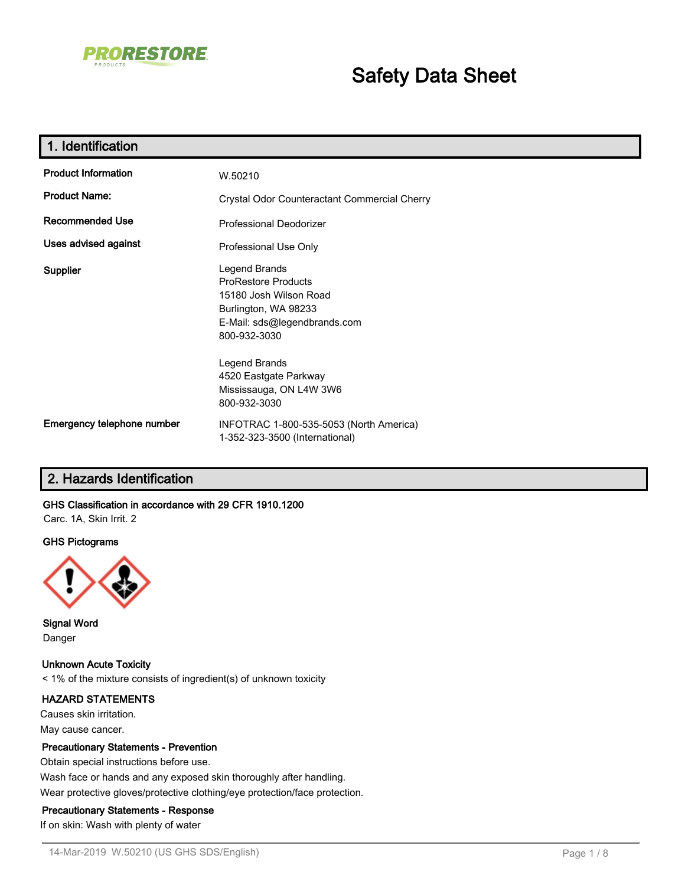

# **Safety Data Sheet**

| 1. Identification          |                                                                                                                                               |
|----------------------------|-----------------------------------------------------------------------------------------------------------------------------------------------|
| <b>Product Information</b> | W.50210                                                                                                                                       |
| <b>Product Name:</b>       | Crystal Odor Counteractant Commercial Cherry                                                                                                  |
| Recommended Use            | Professional Deodorizer                                                                                                                       |
| Uses advised against       | Professional Use Only                                                                                                                         |
| Supplier                   | Legend Brands<br><b>ProRestore Products</b><br>15180 Josh Wilson Road<br>Burlington, WA 98233<br>E-Mail: sds@legendbrands.com<br>800-932-3030 |
|                            | Legend Brands<br>4520 Eastgate Parkway<br>Mississauga, ON L4W 3W6<br>800-932-3030                                                             |
| Emergency telephone number | INFOTRAC 1-800-535-5053 (North America)<br>1-352-323-3500 (International)                                                                     |

## **2. Hazards Identification**

#### **GHS Classification in accordance with 29 CFR 1910.1200**

Carc. 1A, Skin Irrit. 2

#### **GHS Pictograms**



**Signal Word** Danger

**Unknown Acute Toxicity** < 1% of the mixture consists of ingredient(s) of unknown toxicity

#### **HAZARD STATEMENTS**

Causes skin irritation. May cause cancer.

#### **Precautionary Statements - Prevention**

Obtain special instructions before use. Wash face or hands and any exposed skin thoroughly after handling. Wear protective gloves/protective clothing/eye protection/face protection.

#### **Precautionary Statements - Response**

If on skin: Wash with plenty of water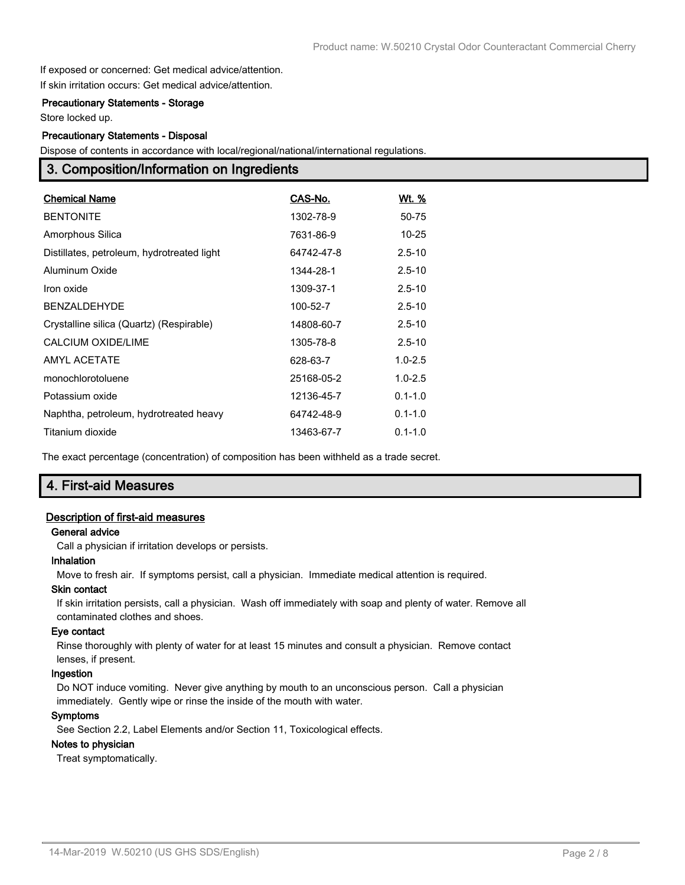If exposed or concerned: Get medical advice/attention. If skin irritation occurs: Get medical advice/attention.

#### **Precautionary Statements - Storage**

Store locked up.

#### **Precautionary Statements - Disposal**

Dispose of contents in accordance with local/regional/national/international regulations.

## **3. Composition/Information on Ingredients**

| <b>Chemical Name</b>                       | CAS-No.    | <u>Wt. %</u> |
|--------------------------------------------|------------|--------------|
| <b>BENTONITE</b>                           | 1302-78-9  | 50-75        |
| Amorphous Silica                           | 7631-86-9  | $10 - 25$    |
| Distillates, petroleum, hydrotreated light | 64742-47-8 | $2.5 - 10$   |
| Aluminum Oxide                             | 1344-28-1  | $2.5 - 10$   |
| Iron oxide                                 | 1309-37-1  | $2.5 - 10$   |
| <b>BENZALDEHYDE</b>                        | 100-52-7   | $2.5 - 10$   |
| Crystalline silica (Quartz) (Respirable)   | 14808-60-7 | $2.5 - 10$   |
| CALCIUM OXIDE/LIME                         | 1305-78-8  | $2.5 - 10$   |
| <b>AMYL ACETATE</b>                        | 628-63-7   | $1.0 - 2.5$  |
| monochlorotoluene                          | 25168-05-2 | $1.0 - 2.5$  |
| Potassium oxide                            | 12136-45-7 | $0.1 - 1.0$  |
| Naphtha, petroleum, hydrotreated heavy     | 64742-48-9 | $0.1 - 1.0$  |
| Titanium dioxide                           | 13463-67-7 | $0.1 - 1.0$  |

The exact percentage (concentration) of composition has been withheld as a trade secret.

## **4. First-aid Measures**

#### **Description of first-aid measures**

#### **General advice**

Call a physician if irritation develops or persists.

#### **Inhalation**

Move to fresh air. If symptoms persist, call a physician. Immediate medical attention is required.

#### **Skin contact**

If skin irritation persists, call a physician. Wash off immediately with soap and plenty of water. Remove all contaminated clothes and shoes.

#### **Eye contact**

Rinse thoroughly with plenty of water for at least 15 minutes and consult a physician. Remove contact lenses, if present.

#### **Ingestion**

Do NOT induce vomiting. Never give anything by mouth to an unconscious person. Call a physician immediately. Gently wipe or rinse the inside of the mouth with water.

#### **Symptoms**

See Section 2.2, Label Elements and/or Section 11, Toxicological effects.

#### **Notes to physician**

Treat symptomatically.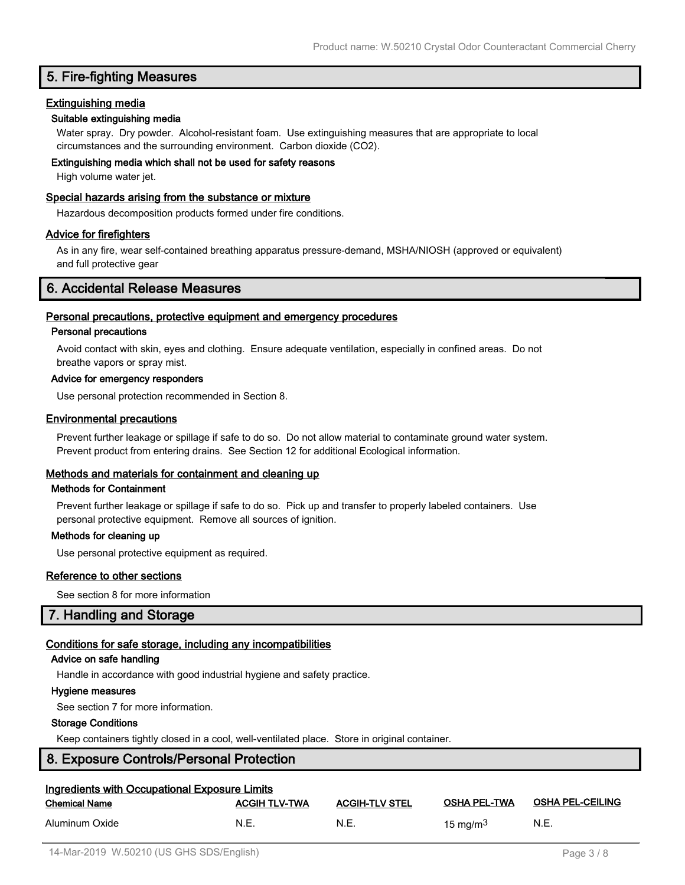## **5. Fire-fighting Measures**

#### **Extinguishing media**

#### **Suitable extinguishing media**

Water spray. Dry powder. Alcohol-resistant foam. Use extinguishing measures that are appropriate to local circumstances and the surrounding environment. Carbon dioxide (CO2).

#### **Extinguishing media which shall not be used for safety reasons**

High volume water jet.

#### **Special hazards arising from the substance or mixture**

Hazardous decomposition products formed under fire conditions.

#### **Advice for firefighters**

As in any fire, wear self-contained breathing apparatus pressure-demand, MSHA/NIOSH (approved or equivalent) and full protective gear

## **6. Accidental Release Measures**

#### **Personal precautions, protective equipment and emergency procedures**

#### **Personal precautions**

Avoid contact with skin, eyes and clothing. Ensure adequate ventilation, especially in confined areas. Do not breathe vapors or spray mist.

#### **Advice for emergency responders**

Use personal protection recommended in Section 8.

#### **Environmental precautions**

Prevent further leakage or spillage if safe to do so. Do not allow material to contaminate ground water system. Prevent product from entering drains. See Section 12 for additional Ecological information.

#### **Methods and materials for containment and cleaning up**

#### **Methods for Containment**

Prevent further leakage or spillage if safe to do so. Pick up and transfer to properly labeled containers. Use personal protective equipment. Remove all sources of ignition.

#### **Methods for cleaning up**

Use personal protective equipment as required.

#### **Reference to other sections**

See section 8 for more information

## **7. Handling and Storage**

#### **Conditions for safe storage, including any incompatibilities**

#### **Advice on safe handling**

Handle in accordance with good industrial hygiene and safety practice.

#### **Hygiene measures**

See section 7 for more information.

#### **Storage Conditions**

Keep containers tightly closed in a cool, well-ventilated place. Store in original container.

## **8. Exposure Controls/Personal Protection**

| <b>Ingredients with Occupational Exposure Limits</b> |                      |                       |                     |                         |
|------------------------------------------------------|----------------------|-----------------------|---------------------|-------------------------|
| Chemical Name                                        | <b>ACGIH TLV-TWA</b> | <b>ACGIH-TLV STEL</b> | <b>OSHA PEL-TWA</b> | <b>OSHA PEL-CEILING</b> |
| Aluminum Oxide                                       | N.E.                 | N.E.                  | 15 mg/m $3$         | N.E.                    |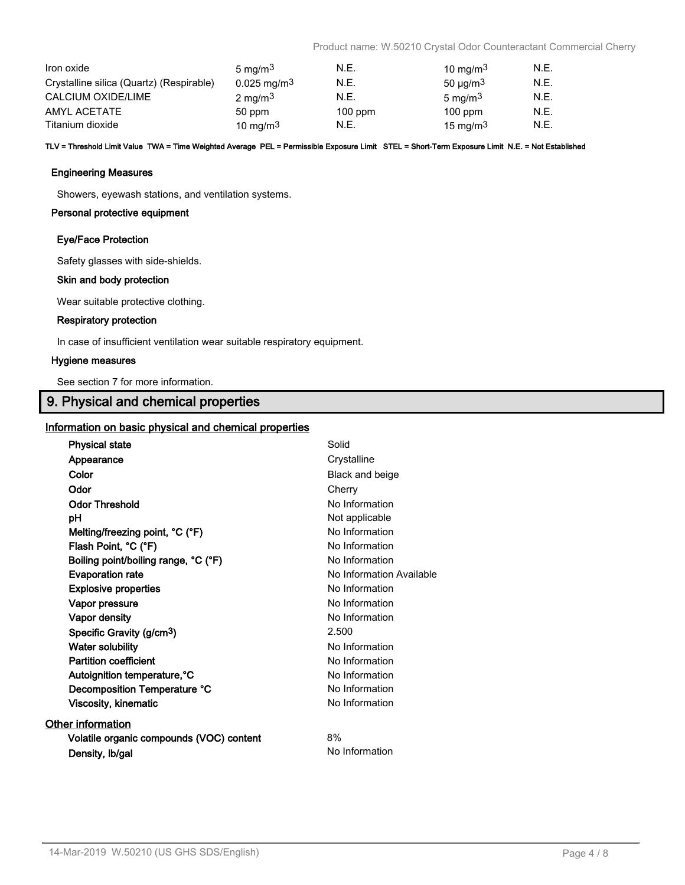Product name: W.50210 Crystal Odor Counteractant Commercial Cherry

| Iron oxide                               | $5 \text{ mg/m}^3$        | N.E.      | 10 mg/m $3$        | N.E. |
|------------------------------------------|---------------------------|-----------|--------------------|------|
| Crystalline silica (Quartz) (Respirable) | $0.025 \,\mathrm{mg/m^3}$ | N.E.      | $50 \mu g/m3$      | N.E. |
| CALCIUM OXIDE/LIME                       | $2 \text{ mg/m}^3$        | N.E.      | $5 \text{ ma/m}^3$ | N.E. |
| AMYL ACETATE                             | 50 ppm                    | $100$ ppm | $100$ ppm          | N.E. |
| Titanium dioxide                         | 10 mg/m $3$               | N.E.      | 15 mg/m $3$        | N.E. |

**TLV = Threshold Limit Value TWA = Time Weighted Average PEL = Permissible Exposure Limit STEL = Short-Term Exposure Limit N.E. = Not Established**

#### **Engineering Measures**

Showers, eyewash stations, and ventilation systems.

#### **Personal protective equipment**

#### **Eye/Face Protection**

Safety glasses with side-shields.

#### **Skin and body protection**

Wear suitable protective clothing.

#### **Respiratory protection**

In case of insufficient ventilation wear suitable respiratory equipment.

#### **Hygiene measures**

See section 7 for more information.

## **9. Physical and chemical properties**

#### **Information on basic physical and chemical properties**

| Crystalline<br>Appearance<br>Color<br>Black and beige<br>Odor<br>Cherry |  |
|-------------------------------------------------------------------------|--|
|                                                                         |  |
|                                                                         |  |
|                                                                         |  |
| <b>Odor Threshold</b><br>No Information                                 |  |
| Not applicable<br>рH                                                    |  |
| No Information<br>Melting/freezing point, °C (°F)                       |  |
| Flash Point, °C (°F)<br>No Information                                  |  |
| Boiling point/boiling range, °C (°F)<br>No Information                  |  |
| <b>Evaporation rate</b><br>No Information Available                     |  |
| No Information<br><b>Explosive properties</b>                           |  |
| No Information<br>Vapor pressure                                        |  |
| No Information<br>Vapor density                                         |  |
| 2.500<br>Specific Gravity (g/cm <sup>3</sup> )                          |  |
| <b>Water solubility</b><br>No Information                               |  |
| <b>Partition coefficient</b><br>No Information                          |  |
| Autoignition temperature, °C<br>No Information                          |  |
| Decomposition Temperature °C<br>No Information                          |  |
| <b>Viscosity, kinematic</b><br>No Information                           |  |
| <b>Other information</b>                                                |  |
| 8%<br>Volatile organic compounds (VOC) content                          |  |
| No Information<br>Density, Ib/gal                                       |  |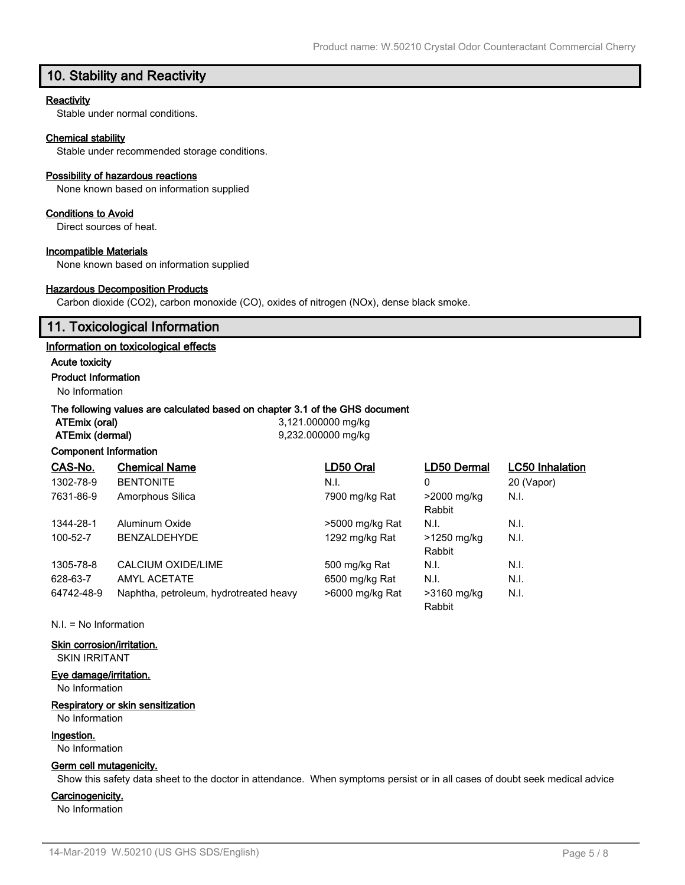## **10. Stability and Reactivity**

#### **Reactivity**

Stable under normal conditions.

#### **Chemical stability**

Stable under recommended storage conditions.

#### **Possibility of hazardous reactions**

None known based on information supplied

#### **Conditions to Avoid**

Direct sources of heat.

#### **Incompatible Materials**

None known based on information supplied

#### **Hazardous Decomposition Products**

Carbon dioxide (CO2), carbon monoxide (CO), oxides of nitrogen (NOx), dense black smoke.

## **11. Toxicological Information**

#### **Information on toxicological effects**

#### **Acute toxicity**

**Product Information**

No Information

#### **The following values are calculated based on chapter 3.1 of the GHS document**

**ATEmix (oral)** 3,121.000000 mg/kg **ATEmix (dermal)** 9,232.000000 mg/kg

#### **Component Information**

| CAS-No.    | <b>Chemical Name</b>                   | LD50 Oral       | LD50 Dermal | <b>LC50 Inhalation</b> |
|------------|----------------------------------------|-----------------|-------------|------------------------|
| 1302-78-9  | <b>BENTONITE</b>                       | N.I.            | 0           | 20 (Vapor)             |
| 7631-86-9  | Amorphous Silica                       | 7900 mg/kg Rat  | >2000 mg/kg | N.I.                   |
|            |                                        |                 | Rabbit      |                        |
| 1344-28-1  | Aluminum Oxide                         | >5000 mg/kg Rat | N.I.        | N.I.                   |
| 100-52-7   | <b>BENZALDEHYDE</b>                    | 1292 mg/kg Rat  | >1250 mg/kg | N.I.                   |
|            |                                        |                 | Rabbit      |                        |
| 1305-78-8  | CALCIUM OXIDE/LIME                     | 500 mg/kg Rat   | N.I.        | N.I.                   |
| 628-63-7   | AMYL ACETATE                           | 6500 mg/kg Rat  | N.I.        | N.I.                   |
| 64742-48-9 | Naphtha, petroleum, hydrotreated heavy | >6000 mg/kg Rat | >3160 mg/kg | N.I.                   |
|            |                                        |                 | Rabbit      |                        |

N.I. = No Information

## **Skin corrosion/irritation.**

SKIN IRRITANT

#### **Eye damage/irritation.**

No Information

#### **Respiratory or skin sensitization**

## No Information

#### **Ingestion.**

No Information

## **Germ cell mutagenicity.**

Show this safety data sheet to the doctor in attendance. When symptoms persist or in all cases of doubt seek medical advice

#### **Carcinogenicity.**

No Information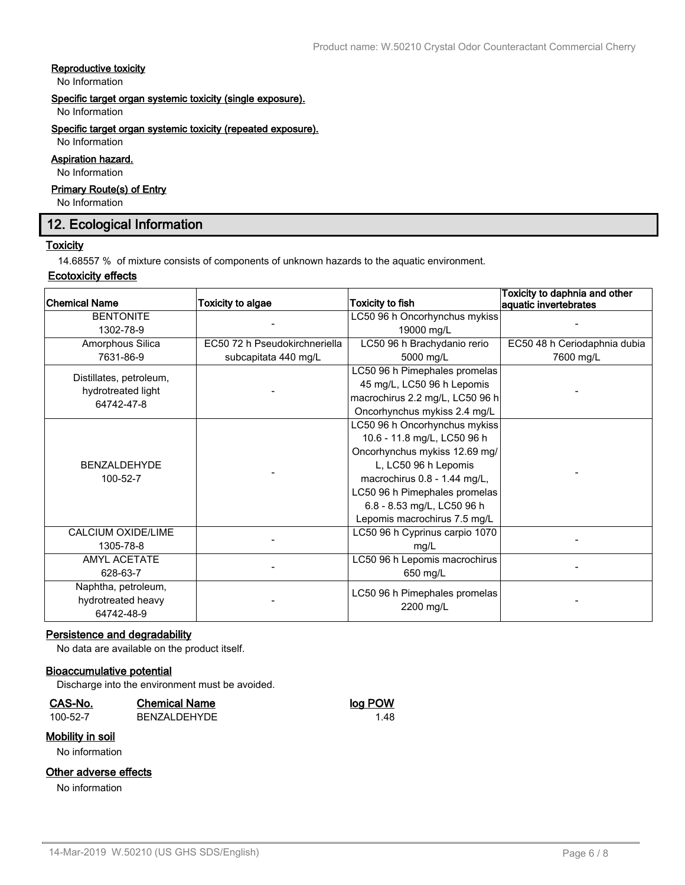#### **Reproductive toxicity**

No Information

## **Specific target organ systemic toxicity (single exposure).**

No Information

#### **Specific target organ systemic toxicity (repeated exposure).**

No Information **Aspiration hazard.**

## No Information

#### **Primary Route(s) of Entry**

No Information

## **12. Ecological Information**

#### **Toxicity**

14.68557 % of mixture consists of components of unknown hazards to the aquatic environment.

#### **Ecotoxicity effects**

| Chemical Name           | <b>Toxicity to algae</b>      | <b>Toxicity to fish</b>         | Toxicity to daphnia and other<br>aquatic invertebrates |
|-------------------------|-------------------------------|---------------------------------|--------------------------------------------------------|
| <b>BENTONITE</b>        |                               | LC50 96 h Oncorhynchus mykiss   |                                                        |
| 1302-78-9               |                               | 19000 mg/L                      |                                                        |
| Amorphous Silica        | EC50 72 h Pseudokirchneriella | LC50 96 h Brachydanio rerio     | EC50 48 h Ceriodaphnia dubia                           |
| 7631-86-9               | subcapitata 440 mg/L          | 5000 mg/L                       | 7600 mg/L                                              |
| Distillates, petroleum, |                               | LC50 96 h Pimephales promelas   |                                                        |
| hydrotreated light      |                               | 45 mg/L, LC50 96 h Lepomis      |                                                        |
| 64742-47-8              |                               | macrochirus 2.2 mg/L, LC50 96 h |                                                        |
|                         |                               | Oncorhynchus mykiss 2.4 mg/L    |                                                        |
|                         |                               | LC50 96 h Oncorhynchus mykiss   |                                                        |
|                         |                               | 10.6 - 11.8 mg/L, LC50 96 h     |                                                        |
|                         |                               | Oncorhynchus mykiss 12.69 mg/   |                                                        |
| <b>BENZALDEHYDE</b>     |                               | L, LC50 96 h Lepomis            |                                                        |
| 100-52-7                |                               | macrochirus 0.8 - 1.44 mg/L,    |                                                        |
|                         |                               | LC50 96 h Pimephales promelas   |                                                        |
|                         |                               | 6.8 - 8.53 mg/L, LC50 96 h      |                                                        |
|                         |                               | Lepomis macrochirus 7.5 mg/L    |                                                        |
| CALCIUM OXIDE/LIME      |                               | LC50 96 h Cyprinus carpio 1070  |                                                        |
| 1305-78-8               |                               | mg/L                            |                                                        |
| <b>AMYL ACETATE</b>     |                               | LC50 96 h Lepomis macrochirus   |                                                        |
| 628-63-7                |                               | 650 mg/L                        |                                                        |
| Naphtha, petroleum,     |                               | LC50 96 h Pimephales promelas   |                                                        |
| hydrotreated heavy      |                               | 2200 mg/L                       |                                                        |
| 64742-48-9              |                               |                                 |                                                        |

#### **Persistence and degradability**

No data are available on the product itself.

#### **Bioaccumulative potential**

Discharge into the environment must be avoided.

#### **CAS-No. Chemical Name log POW**

## 100-52-7 BENZALDEHYDE 1.48

## **Mobility in soil**

No information

## **Other adverse effects**

No information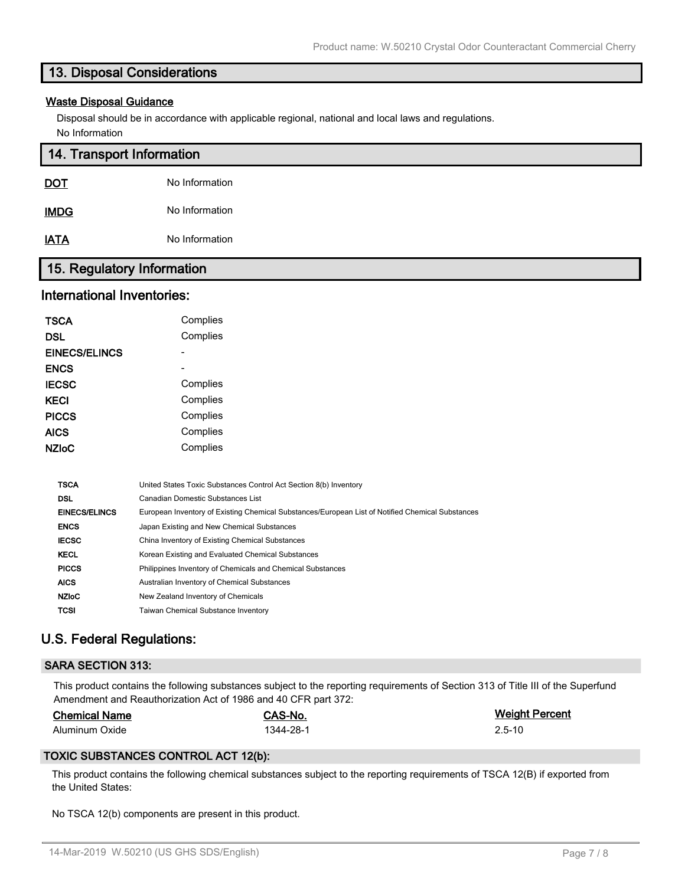## **13. Disposal Considerations**

#### **Waste Disposal Guidance**

Disposal should be in accordance with applicable regional, national and local laws and regulations. No Information

| 14. Transport Information  |                |  |
|----------------------------|----------------|--|
| <u>DOT</u>                 | No Information |  |
| <b>IMDG</b>                | No Information |  |
| <b>IATA</b>                | No Information |  |
| 15. Regulatory Information |                |  |

## **International Inventories:**

| <b>TSCA</b>          | Complies |
|----------------------|----------|
| <b>DSL</b>           | Complies |
| <b>EINECS/ELINCS</b> |          |
| <b>ENCS</b>          |          |
| <b>IECSC</b>         | Complies |
| <b>KECI</b>          | Complies |
| <b>PICCS</b>         | Complies |
| <b>AICS</b>          | Complies |
| <b>NZIoC</b>         | Complies |

| <b>TSCA</b>          | United States Toxic Substances Control Act Section 8(b) Inventory                                |
|----------------------|--------------------------------------------------------------------------------------------------|
| <b>DSL</b>           | Canadian Domestic Substances List                                                                |
| <b>EINECS/ELINCS</b> | European Inventory of Existing Chemical Substances/European List of Notified Chemical Substances |
| <b>ENCS</b>          | Japan Existing and New Chemical Substances                                                       |
| <b>IECSC</b>         | China Inventory of Existing Chemical Substances                                                  |
| <b>KECL</b>          | Korean Existing and Evaluated Chemical Substances                                                |
| <b>PICCS</b>         | Philippines Inventory of Chemicals and Chemical Substances                                       |
| <b>AICS</b>          | Australian Inventory of Chemical Substances                                                      |
| <b>NZIoC</b>         | New Zealand Inventory of Chemicals                                                               |
| <b>TCSI</b>          | <b>Taiwan Chemical Substance Inventory</b>                                                       |
|                      |                                                                                                  |

## **U.S. Federal Regulations:**

#### **SARA SECTION 313:**

This product contains the following substances subject to the reporting requirements of Section 313 of Title III of the Superfund Amendment and Reauthorization Act of 1986 and 40 CFR part 372:

| <b>Chemical Name</b> |  |
|----------------------|--|
|                      |  |

**Chemical Name CAS-No. Weight Percent** Aluminum Oxide 2.5-10

#### **TOXIC SUBSTANCES CONTROL ACT 12(b):**

This product contains the following chemical substances subject to the reporting requirements of TSCA 12(B) if exported from the United States:

No TSCA 12(b) components are present in this product.